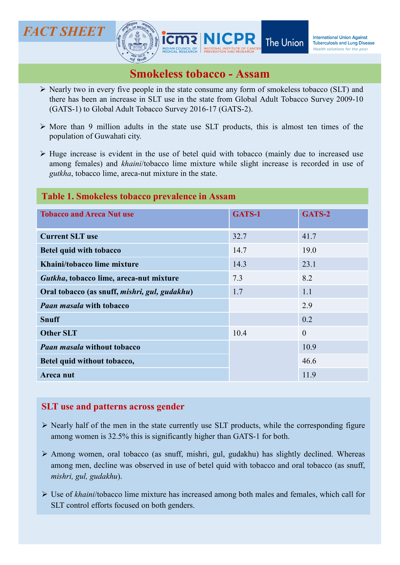

- $CT SHEET$ <br>
Nearly two in every five people in the state consume any form of smokeless tobacco (SLT) and<br>
there has been an increase in SLT use in the state consume any form of smokeless tobacco (SLT) and<br>
(GATS-1) to Global **T SHEET**<br> **The Union**<br> **The Union**<br> **The Union**<br> **The Union**<br> **The Union**<br> **The Union**<br> **The Union**<br> **The Union**<br> **The Union**<br> **The Union**<br> **ISSENGERS ASSAIN**<br>
Nearly two in every five people in the state from Global Adu T SHEET<br>
SILENCE TRESPONDENT The Union International Union Against<br>
Simple Length Survey 2009-10<br>
Nearly two in every five people in the state consume any form of smokeless tobacco (SLT) and<br>
there has been an increase in **CT SHEET**<br>
MICPR<br>
MICPR<br>
MICPR<br>
MORE THE Union International Union Against<br>
Mary two in every five people in the state consume any form of smokeless tobacco (SLT) and<br>
there has been an increase in SLT use in the state f
- 
- **CT SHEET**<br> **EXECUTE:**<br> **EXECUTE:**<br> **EXECUTE:**<br> **EXECUTE:**<br> **EXECUTE:**<br> **EXECUTE:**<br> **EXECUTE:**<br> **EXECUTE:**<br> **EXECUTE:**<br> **EXECUTE:**<br> **EXECUTE:**<br> **EXECUTE:**<br> **EXECUTE:**<br> **EXECUTE:**<br> **EXECUTE:**<br> **EXECUTE:**<br> **EXECUTE:**<br> **EXEC AMORE ANTICE ANTIFEM CONTROVIDE SUBSEX CONTROVIDED THE UNION TREASURE THE UNION DEPENDENCING THE UNION CONTROLLED AGAINST DRIVE TO NOTE THAT USE in the state consume any form of smokeless tobacco (SLT) and there has been FIGHET**<br> **GUNDRET**<br> **GUNDRET SURVERT The Union**<br> **EXERCISE THE UNION SECTION TO THE UNION CONSUMIDENT**<br>
Note than 9 million adults in the state consume any form of smokeless tobacco (SLT) and<br>
(GATS-1) to Global Adult To

## Table 1. Smokeless tobacco prevalence in Assam

|                                                                                                                                                                                                                                                                             |        | <b>The Union</b><br><b>Tuberculosis and Lung Disease</b><br>Health solutions for the poor |
|-----------------------------------------------------------------------------------------------------------------------------------------------------------------------------------------------------------------------------------------------------------------------------|--------|-------------------------------------------------------------------------------------------|
| <b>Smokeless tobacco - Assam</b>                                                                                                                                                                                                                                            |        |                                                                                           |
| $\triangleright$ Nearly two in every five people in the state consume any form of smokeless tobacco (SLT) and<br>there has been an increase in SLT use in the state from Global Adult Tobacco Survey 2009-10<br>(GATS-1) to Global Adult Tobacco Survey 2016-17 (GATS-2).   |        |                                                                                           |
| $\triangleright$ More than 9 million adults in the state use SLT products, this is almost ten times of the<br>population of Guwahati city.                                                                                                                                  |        |                                                                                           |
| $\triangleright$ Huge increase is evident in the use of betel quid with tobacco (mainly due to increased use<br>among females) and khaini/tobacco lime mixture while slight increase is recorded in use of<br><i>gutkha</i> , tobacco lime, areca-nut mixture in the state. |        |                                                                                           |
| Table 1. Smokeless tobacco prevalence in Assam                                                                                                                                                                                                                              |        |                                                                                           |
| <b>Tobacco and Areca Nut use</b>                                                                                                                                                                                                                                            | GATS-1 | GATS-2                                                                                    |
| <b>Current SLT use</b>                                                                                                                                                                                                                                                      | 32.7   | 41.7                                                                                      |
| <b>Betel quid with tobacco</b>                                                                                                                                                                                                                                              | 14.7   | 19.0                                                                                      |
| Khaini/tobacco lime mixture                                                                                                                                                                                                                                                 | 14.3   | 23.1                                                                                      |
| Gutkha, tobacco lime, areca-nut mixture                                                                                                                                                                                                                                     | 7.3    | 8.2                                                                                       |
| Oral tobacco (as snuff, mishri, gul, gudakhu)                                                                                                                                                                                                                               | 1.7    | 1.1                                                                                       |
| <b>Paan masala with tobacco</b>                                                                                                                                                                                                                                             |        | 2.9                                                                                       |
| <b>Snuff</b>                                                                                                                                                                                                                                                                |        | 0.2                                                                                       |
| <b>Other SLT</b>                                                                                                                                                                                                                                                            | 10.4   | $\mathbf{0}$                                                                              |
| <b>Paan masala without tobacco</b>                                                                                                                                                                                                                                          |        | 10.9                                                                                      |
| Betel quid without tobacco,                                                                                                                                                                                                                                                 |        | 46.6                                                                                      |
| Areca nut                                                                                                                                                                                                                                                                   |        | 11.9                                                                                      |
|                                                                                                                                                                                                                                                                             |        |                                                                                           |
| <b>SLT</b> use and patterns across gender                                                                                                                                                                                                                                   |        |                                                                                           |
| > Nearly half of the men in the state currently use SLT products, while the corresponding figure<br>among women is 32.5% this is significantly higher than GATS-1 for both.                                                                                                 |        |                                                                                           |
| > Among women, oral tobacco (as snuff, mishri, gul, gudakhu) has slightly declined. Whereas<br>among men, decline was observed in use of betel quid with tobacco and oral tobacco (as snuff,<br>mishri, gul, gudakhu).                                                      |        |                                                                                           |
| $\triangleright$ Use of khaini/tobacco lime mixture has increased among both males and females, which call for<br>SLT control efforts focused on both genders.                                                                                                              |        |                                                                                           |
|                                                                                                                                                                                                                                                                             |        |                                                                                           |
|                                                                                                                                                                                                                                                                             |        |                                                                                           |
|                                                                                                                                                                                                                                                                             |        |                                                                                           |

## SLT use and patterns across gender

- 
- 
-